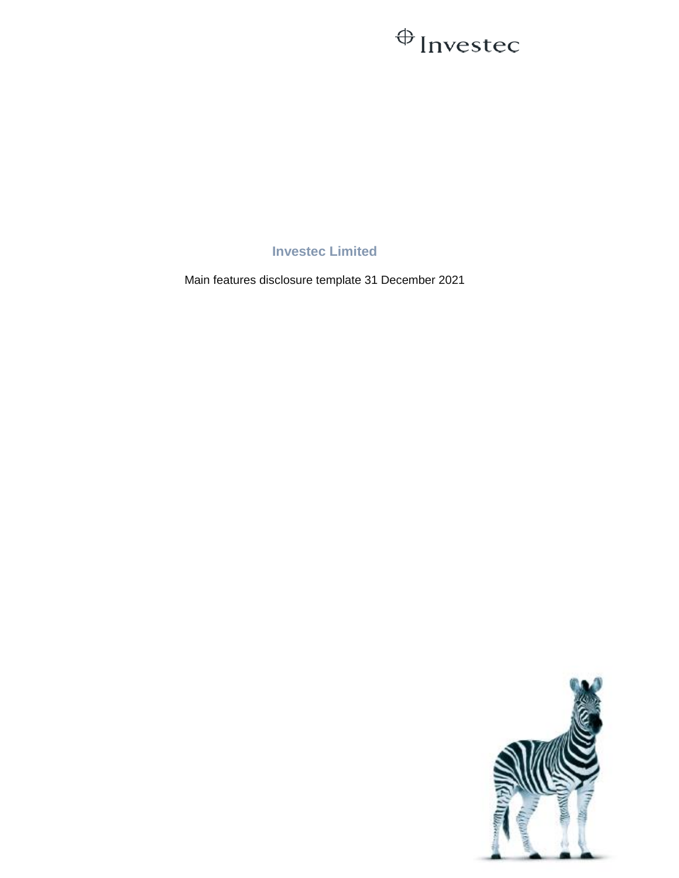## $\bigoplus$  Investec

**Investec Limited**

Main features disclosure template 31 December 2021

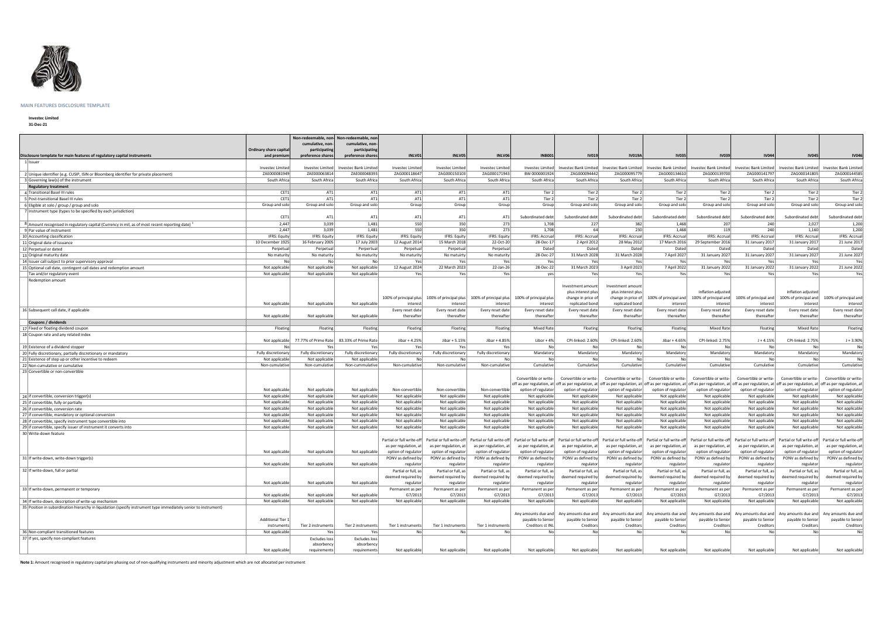

## **MAIN FEATURES DISCLOSURE TEMPLATE**

**Investec Limited 31-Dec-21**

| Disclosure template for main features of regulatory capital instruments                                          | <b>Ordinary share capita</b><br>and premiur | Non-redeemable, non-<br>cumulative, non-<br>participating<br>preference shares | Non-redeemable, non<br>cumulative, non-<br>participating<br>preference shares | INLV01                            | INLV05                                        | INLV06                            | <b>INB001</b>                                 | <b>IV019</b>                                                                                            | <b>IV019A</b>                                                 | <b>IV035</b>          | <b>IV039</b>                                                                           | <b>IV044</b>              | <b>IV045</b>                                                                                                                                                                                                         | <b>IV046</b>                             |
|------------------------------------------------------------------------------------------------------------------|---------------------------------------------|--------------------------------------------------------------------------------|-------------------------------------------------------------------------------|-----------------------------------|-----------------------------------------------|-----------------------------------|-----------------------------------------------|---------------------------------------------------------------------------------------------------------|---------------------------------------------------------------|-----------------------|----------------------------------------------------------------------------------------|---------------------------|----------------------------------------------------------------------------------------------------------------------------------------------------------------------------------------------------------------------|------------------------------------------|
| 1 Issuer                                                                                                         |                                             |                                                                                |                                                                               |                                   |                                               |                                   |                                               |                                                                                                         |                                                               |                       |                                                                                        |                           |                                                                                                                                                                                                                      |                                          |
|                                                                                                                  | Investec Limited                            | Investec Limited                                                               | Investec Bank Limited                                                         | Investec Limited                  | <b>Investec Limited</b>                       | <b>Investec Limited</b>           | Investec Limited                              | Investec Bank Limited                                                                                   | Investec Bank Limited                                         | Investec Bank Limited | Investec Bank Limited                                                                  | Investec Bank Limited     | <b>Investec Bank Limited</b>                                                                                                                                                                                         | <b>Investec Bank Limited</b>             |
| 2 Unique identifier (e.g. CUSIP, ISIN or Bloomberg identifier for private placement)                             | ZAE000081949                                | ZAE000063814                                                                   | ZAE000048393                                                                  | ZAG000118647                      | ZAG000150103                                  | ZAG000171943                      | BW 0000001924                                 | ZAG000094442                                                                                            | ZAG000095779                                                  | ZAG000134610          | ZAG000139700                                                                           | ZAG000141797              | ZAG000141805                                                                                                                                                                                                         | ZAG000144585                             |
| 3 Governing law(s) of the instrument                                                                             | South Africa                                | South Africa                                                                   | South Africa                                                                  | South Africa                      | South Africa                                  | South Africa                      | South Africa                                  | South Africa                                                                                            | South Africa                                                  | South Africa          | South Africa                                                                           | South Africa              | South Africa                                                                                                                                                                                                         | South Africa                             |
| <b>Regulatory treatment</b>                                                                                      |                                             |                                                                                |                                                                               |                                   |                                               |                                   |                                               |                                                                                                         |                                                               |                       |                                                                                        |                           |                                                                                                                                                                                                                      |                                          |
| 4 Transitional Basel III rules                                                                                   | CET1                                        | AT1                                                                            | AT1                                                                           | AT1                               | AT1                                           | AT1                               | Tier 2                                        | Tier 2                                                                                                  | Tier 2                                                        | Tier 2                | Tier 2                                                                                 | Tier 2                    | Tier 2                                                                                                                                                                                                               | Tier 2                                   |
| 5 Post-transitional Basel III rules                                                                              | CET1                                        | AT1                                                                            | AT1                                                                           | AT1                               | AT1                                           | AT1                               | Tier 2                                        | Tier 2                                                                                                  | Tier 2                                                        | Tier 2                | Tier 2                                                                                 | Tier 2                    | Tier 2                                                                                                                                                                                                               | Tier 2                                   |
| 6 Eligible at solo / group / group and solo                                                                      | Group and solo                              | Group and solo                                                                 | Group and solo                                                                | Group                             | Group                                         | Group                             | Group                                         | Group and solo                                                                                          | Group and solo                                                | Group and solo        | Group and solo                                                                         | Group and solo            | Group and solo                                                                                                                                                                                                       | Group and solo                           |
| 7 Instrument type (types to be specified by each jurisdiction)                                                   |                                             |                                                                                |                                                                               |                                   |                                               |                                   |                                               |                                                                                                         |                                                               |                       |                                                                                        |                           |                                                                                                                                                                                                                      |                                          |
|                                                                                                                  | CET1                                        | AT1                                                                            | AT1                                                                           | AT1                               | AT1                                           | AT1                               | Subordinated debt                             | Subordinated debt                                                                                       | Subordinated debt                                             | Subordinated debt     | Subordinated debt                                                                      | Subordinated debt         | Subordinated debt                                                                                                                                                                                                    | Subordinated debt                        |
| 8 Amount recognised in regulatory capital (Currency in mil, as of most recent reporting date)                    | 2,447                                       | 3,039                                                                          | 1,481                                                                         | 550                               | 350                                           | 273                               | 1,708                                         | 227                                                                                                     | 382                                                           | 1,468                 | 207                                                                                    | 240                       | 2,027                                                                                                                                                                                                                | 1,200                                    |
| 9 Par value of instrument                                                                                        | 2,447                                       | 3,039                                                                          | 1,481                                                                         | 550                               | 350                                           | 273                               | 1,708                                         | 64                                                                                                      | 230                                                           | 1,468                 | 119                                                                                    | 240                       | 1,160                                                                                                                                                                                                                | 1,200                                    |
| 10 Accounting classification                                                                                     | IFRS: Equity                                | IFRS: Equity                                                                   | IFRS: Equity                                                                  | IFRS: Equity                      | <b>IFRS: Equity</b>                           | IFRS: Equity                      | <b>IFRS: Accrual</b>                          | <b>IFRS: Accrual</b>                                                                                    | IFRS: Accrual                                                 | IFRS: Accrual         | IFRS: Accrual                                                                          | <b>IFRS: Accrual</b>      | <b>IFRS: Accrual</b>                                                                                                                                                                                                 | <b>IFRS: Accrual</b>                     |
| 11 Original date of issuance                                                                                     | 10 December 1925                            | 16 February 2005                                                               | 17 July 2003                                                                  | 12 August 2014                    | 15 March 2018                                 | 22-Oct-20                         | 28-Dec-17                                     | 2 April 2012                                                                                            | 28 May 2012                                                   | 17 March 2016         | 29 September 2016                                                                      | 31 January 2017           | 31 January 2017                                                                                                                                                                                                      | 21 June 2017                             |
| 12 Perpetual or dated                                                                                            | Perpetua                                    | Perpetual                                                                      | Perpertual                                                                    | Perpetual                         | Perpetual                                     | Perpetual                         | Dated                                         | Dated                                                                                                   | Dated                                                         | Dated                 | Dated                                                                                  | Dated                     | Dated                                                                                                                                                                                                                | Dated                                    |
| 13 Original maturity date                                                                                        | No maturity                                 | No maturity                                                                    | No maturity                                                                   | No maturity                       | No matuirty                                   | No maturity                       | 28-Dec-27                                     | 31 March 2028                                                                                           | 31 March 2028                                                 | 7 April 2027          | 31 January 2027                                                                        | 31 January 2027           | 31 January 2027                                                                                                                                                                                                      | 21 June 2027                             |
| 14 Issuer call subject to prior supervisory approval                                                             |                                             | No                                                                             | No                                                                            | Yes                               | Yes                                           | Yes                               | Yes                                           | Yes                                                                                                     | Yes                                                           | Yes                   | Yes                                                                                    | Yes                       | Yes                                                                                                                                                                                                                  | Yes                                      |
| 15 Optional call date, contingent call dates and redemption amount                                               | Not applicable                              | Not applicable                                                                 | Not applicable                                                                | 12 August 2024                    | 22 March 2023                                 | 22-Jan-26                         | 28-Dec-22                                     | 31 March 2023                                                                                           | 3 April 2023                                                  | 7 April 2022          | 31 January 2022                                                                        | 31 January 2022           | 31 January 2022                                                                                                                                                                                                      | 21 June 2022                             |
| Tax and/or regulatory event                                                                                      | Not applicable                              | Not applicable                                                                 | Not applicable                                                                | Yes                               | Yes                                           | Yes                               | yes                                           | Yes                                                                                                     | Yes                                                           | Yes                   | Yes                                                                                    | Yes                       | Yes                                                                                                                                                                                                                  | Yes                                      |
| Redemption amount                                                                                                |                                             |                                                                                |                                                                               |                                   |                                               |                                   |                                               |                                                                                                         |                                                               |                       |                                                                                        |                           |                                                                                                                                                                                                                      |                                          |
|                                                                                                                  |                                             |                                                                                |                                                                               |                                   | 100% of principal plus 100% of principal plus |                                   | 100% of principal plus 100% of principal plus | Investment amount<br>plus interest plus<br>change in price of                                           | Investment amount<br>plus interest plus<br>change in price of | 100% of principal and | inflation adjusted<br>100% of principal and                                            | 100% of principal and     | inflation adjusted<br>100% of principal and                                                                                                                                                                          | 100% of principal and                    |
|                                                                                                                  | Not applicable                              | Not applicable                                                                 | Not applicable                                                                | interest                          | interest                                      | interest                          | interest                                      | replicated bond                                                                                         | replicated bond                                               | interest              | <i>interes</i>                                                                         | interest                  | interest                                                                                                                                                                                                             | interest                                 |
| 16 Subsequent call date, if applicable                                                                           |                                             |                                                                                |                                                                               | Every reset date                  | Every reset date                              | Every reset date                  | Every reset date                              | Every reset date                                                                                        | Every reset date                                              | Every reset date      | Every reset date                                                                       | Every reset date          | Every reset date                                                                                                                                                                                                     | Every reset date                         |
|                                                                                                                  | Not applicable                              | Not applicable                                                                 | Not applicable                                                                | thereafter                        | thereafter                                    | thereafter                        | thereafter                                    | thereafter                                                                                              | thereafter                                                    | thereafter            | thereafter                                                                             | thereafter                | thereafter                                                                                                                                                                                                           | thereafter                               |
| Coupons / dividends                                                                                              |                                             |                                                                                |                                                                               |                                   |                                               |                                   |                                               |                                                                                                         |                                                               |                       |                                                                                        |                           |                                                                                                                                                                                                                      |                                          |
| 17 Fixed or floating dividend coupon                                                                             | Floating                                    | Floating                                                                       | Floating                                                                      | Floating                          | Floating                                      | Floating                          | <b>Mixed Rate</b>                             | Floating                                                                                                | Floating                                                      | Floating              | <b>Mixed Rate</b>                                                                      | Floating                  | <b>Mixed Rate</b>                                                                                                                                                                                                    | Floating                                 |
| 18 Coupon rate and any related index                                                                             |                                             |                                                                                |                                                                               |                                   |                                               |                                   |                                               |                                                                                                         |                                                               |                       |                                                                                        |                           |                                                                                                                                                                                                                      |                                          |
|                                                                                                                  | Not applicable                              | 77.77% of Prime Rate                                                           | 83.33% of Prime Rate                                                          | Jibar + 4.25%                     | Jibar + 5.15%                                 | Jibar + 4.85%                     | Libor + $4%$                                  | CPI-linked: 2.60%                                                                                       | CPI-linked: 2.60%                                             | Jibar + 4.65%         | CPI-linked: 2.75%                                                                      | $J + 4.15%$               | CPI-linked: 2.75%                                                                                                                                                                                                    | $J + 3.90%$                              |
| 19 Existence of a dividend stopper                                                                               |                                             | Yes                                                                            | Yes                                                                           | Yesl                              | Yes                                           | Yes                               | No                                            | No                                                                                                      | Nο                                                            | No                    | No                                                                                     | No                        | No                                                                                                                                                                                                                   | No                                       |
| 20 Fully discretionary, partially discretionary or mandatory                                                     | Fully discretionary                         | Fully discretionary                                                            | Fully discretionary                                                           | Fully discretionary               | Fully discretionary                           | Fully discretionary               | Mandatory                                     | Mandatory                                                                                               | Mandatory                                                     | Mandatory             | Mandatory                                                                              | Mandatory                 | Mandatory                                                                                                                                                                                                            | Mandatory                                |
| 21 Existence of step up or other incentive to redeem                                                             | Not applicable                              | Not applicable                                                                 | Not applicable                                                                | No                                |                                               | Nο                                | No                                            | No                                                                                                      | No                                                            | Nol                   | Nο                                                                                     |                           | No                                                                                                                                                                                                                   | No                                       |
| 22 Non-cumulative or cumulative                                                                                  | Non-cumulative                              | Non-cumulative                                                                 | Non-cummulative                                                               | Non-cumulative                    | Non-cumulative                                | Non-cumulative                    | Cumulative                                    | Cumulative                                                                                              | Cumulative                                                    | Cumulative            | Cumulative                                                                             | Cumulative                | Cumulative                                                                                                                                                                                                           | Cumulative                               |
| 23 Convertible or non-convertible                                                                                |                                             |                                                                                |                                                                               |                                   |                                               |                                   |                                               |                                                                                                         |                                                               |                       |                                                                                        |                           |                                                                                                                                                                                                                      |                                          |
|                                                                                                                  |                                             |                                                                                |                                                                               |                                   |                                               |                                   |                                               |                                                                                                         |                                                               |                       |                                                                                        |                           |                                                                                                                                                                                                                      |                                          |
|                                                                                                                  |                                             |                                                                                |                                                                               |                                   |                                               |                                   | Convertible or write-                         | Convertible or write-                                                                                   | Convertible or write-                                         | Convertible or write- | Convertible or write-                                                                  | Convertible or write-     | Convertible or write-                                                                                                                                                                                                | Convertible or write-                    |
|                                                                                                                  | Not applicable                              | Not applicable                                                                 | Not applicable                                                                |                                   | Non-convertible                               |                                   |                                               |                                                                                                         |                                                               |                       |                                                                                        |                           | off as per regulation, at off as per regulation, at  off as per regulation, at  off as per regulation, at off as per regulation, at  off as per regulation, at  off as per regulation, at  off as per regulation, at | off as per regulation, at                |
|                                                                                                                  |                                             | Not applicable                                                                 | Not applicable                                                                | Non-convertible<br>Not applicable | Not applicable                                | Non-convertible<br>Not applicable | option of regulator                           | option of regulator                                                                                     | option of regulator                                           | option of regulator   | option of regulator                                                                    | option of regulator       | option of regulator<br>Not applicable                                                                                                                                                                                | option of regulator<br>Not applicable    |
| 24 if convertible, conversion trigger(s)                                                                         | Not applicable                              |                                                                                |                                                                               |                                   |                                               |                                   | Not applicable                                | Not applicable                                                                                          | Not applicable                                                | Not applicable        | Not applicable                                                                         | Not applicable            |                                                                                                                                                                                                                      |                                          |
| 25 if convertible, fully or partially                                                                            | Not applicable                              | Not applicable                                                                 | Not applicable                                                                | Not applicable                    | Not applicable                                | Not applicable                    | Not applicable                                | Not applicable                                                                                          | Not applicable                                                | Not applicable        | Not applicable                                                                         | Not applicable            | Not applicable                                                                                                                                                                                                       | Not applicable                           |
| 26 if convertible, conversion rate                                                                               | Not applicable                              | Not applicable                                                                 | Not applicable                                                                | Not applicable                    | Not applicable                                | Not applicable                    | Not applicable                                | Not applicable                                                                                          | Not applicable                                                | Not applicable        | Not applicable                                                                         | Not applicable            | Not applicable                                                                                                                                                                                                       | Not applicable                           |
| 27 if convertible, mandatory or optional conversion                                                              | Not applicable                              | Not applicable                                                                 | Not applicable                                                                | Not applicable                    | Not applicable                                | Not applicable                    | Not applicable                                | Not applicable                                                                                          | Not applicable                                                | Not applicable        | Not applicable                                                                         | Not applicable            | Not applicable                                                                                                                                                                                                       | Not applicable                           |
| 28 if convertible, specify instrument type convertible into                                                      | Not applicable                              | Not applicable                                                                 | Not applicable                                                                | Not applicable                    | Not applicable                                | Not applicable                    | Not applicable                                | Not applicable                                                                                          | Not applicable                                                | Not applicable        | Not applicable                                                                         | Not applicable            | Not applicable                                                                                                                                                                                                       | Not applicable                           |
| 29 If convertible, specify issuer of instrument it converts into                                                 | Not applicable                              | Not applicable                                                                 | Not applicable                                                                | Not applicable                    | Not applicable                                | Not applicable                    | Not applicable                                | Not applicable                                                                                          | Not applicable                                                | Not applicable        | Not applicable                                                                         | Not applicable            | Not applicable                                                                                                                                                                                                       | Not applicable                           |
| 30 Write-down feature                                                                                            |                                             |                                                                                |                                                                               |                                   |                                               |                                   |                                               |                                                                                                         |                                                               |                       |                                                                                        |                           |                                                                                                                                                                                                                      |                                          |
|                                                                                                                  |                                             |                                                                                |                                                                               | Partial or full write-off         | Partial or full write-off                     |                                   |                                               | Partial or full write-off Partial or full write-off Partial or full write-off Partial or full write-off |                                                               |                       | Partial or full write-off Partial or full write-off                                    | Partial or full write-off | Partial or full write-off                                                                                                                                                                                            | Partial or full write-off                |
|                                                                                                                  |                                             |                                                                                |                                                                               | as per regulation, at             | as per regulation, at                         | as per regulation, at             | as per regulation, at                         | as per regulation, at                                                                                   | as per regulation, at                                         | as per regulation, at | as per regulation, at                                                                  | as per regulation, at     | as per regulation, at                                                                                                                                                                                                | as per regulation, at                    |
|                                                                                                                  | Not applicable                              | Not applicable                                                                 | Not applicable                                                                | option of regulator               | option of regulator                           | option of regulator               | option of regulator                           | option of regulator                                                                                     | option of regulator                                           | option of regulator   | option of regulator                                                                    | option of regulator       | option of regulator                                                                                                                                                                                                  | option of regulator                      |
| 31 If write-down, write-down trigger(s)                                                                          |                                             |                                                                                |                                                                               | PONV as defined by                | PONV as defined by                            | PONV as defined by                | PONV as defined by                            | PONV as defined by                                                                                      | PONV as defined by                                            | PONV as defined by    | PONV as defined by                                                                     | PONV as defined by        | PONV as defined by                                                                                                                                                                                                   | PONV as defined by                       |
|                                                                                                                  | Not applicable                              | Not applicable                                                                 | Not applicable                                                                | regulator                         | regulator                                     | regulator                         | regulator                                     | regulator                                                                                               | regulator                                                     | regulator             | regulator                                                                              | regulator                 | regulator                                                                                                                                                                                                            | regulator                                |
| 32 If write-down, full or partial                                                                                |                                             |                                                                                |                                                                               | Partial or full, as               | Partial or full, as                           | Partial or full, as               | Partial or full, as                           | Partial or full, as                                                                                     | Partial or full, as                                           | Partial or full, as   | Partial or full, as                                                                    | Partial or full, as       | Partial or full, as                                                                                                                                                                                                  | Partial or full, as                      |
|                                                                                                                  |                                             |                                                                                |                                                                               | deemed required by                | deemed required by                            | deemed required by                | deemed required by                            | deemed required by                                                                                      | deemed required by                                            | deemed required by    | deemed required by                                                                     | deemed required by        | deemed required by                                                                                                                                                                                                   | deemed required by                       |
|                                                                                                                  | Not applicable                              | Not applicable                                                                 | Not applicable                                                                | regulator                         | regulator                                     | regulator                         | regulator                                     | regulator                                                                                               | regulator                                                     | regulator             | regulato                                                                               | regulator                 | regulator                                                                                                                                                                                                            | regulator                                |
| 33 If write-down, permanent or temporary                                                                         |                                             |                                                                                |                                                                               | Permanent as per                  | Permanent as per                              | Permanent as per                  | Permanent as per                              | Permanent as per                                                                                        | Permanent as per                                              | Permanent as per      | Permanent as per                                                                       | Permanent as per          | Permanent as per                                                                                                                                                                                                     | Permanent as per                         |
|                                                                                                                  | Not applicable                              | Not applicable                                                                 | Not applicable                                                                | G7/2013                           | G7/2013                                       | G7/2013                           | G7/2013                                       | G7/2013                                                                                                 | G7/2013                                                       | G7/2013               | G7/2013                                                                                | G7/2013                   | G7/2013                                                                                                                                                                                                              | G7/2013                                  |
| 34 If write-down, description of write-up mechanism                                                              | Not applicable                              | Not applicable                                                                 | Not applicable                                                                | Not applicable                    | Not applicable                                | Not applicable                    | Not applicable                                | Not applicable                                                                                          | Not applicable                                                | Not applicable        | Not applicable                                                                         | Not applicable            | Not applicable                                                                                                                                                                                                       | Not applicable                           |
| 35 Position in subordination hierarchy in liquidation (specify instrument type immediately senior to instrument) |                                             |                                                                                |                                                                               |                                   |                                               |                                   |                                               |                                                                                                         |                                                               |                       |                                                                                        |                           |                                                                                                                                                                                                                      |                                          |
|                                                                                                                  | <b>Additional Tier 1</b>                    |                                                                                |                                                                               |                                   |                                               | Tier 1 instruments                | payable to Senior                             | Any amounts due and   Any amounts due and   Any amounts due and  <br>payable to Senior                  | payable to Senior                                             | payable to Senior     | Any amounts due and   Any amounts due and   Any amounts due and  <br>payable to Senior | payable to Senior         | Any amounts due and<br>payable to Senior                                                                                                                                                                             | Any amounts due and<br>payable to Senior |
|                                                                                                                  | instruments                                 | Tier 2 instruments                                                             | Tier 2 instruments                                                            | Tier 1 instruments                | Tier 1 instruments                            |                                   | Creditors st INL                              | Creditors                                                                                               | Creditors                                                     | Creditors             | Creditors                                                                              | Creditors                 | Creditors                                                                                                                                                                                                            | Creditors                                |
| 36 Non-compliant transitioned features                                                                           | Not applicable                              | Yes                                                                            | Yes                                                                           | No                                | No                                            | No                                | No                                            | No                                                                                                      | No                                                            | No                    | No                                                                                     | No                        | <b>No</b>                                                                                                                                                                                                            | No                                       |
| 37 If yes, specify non-compliant features                                                                        |                                             | <b>Excludes loss</b>                                                           | Excludes loss                                                                 |                                   |                                               |                                   |                                               |                                                                                                         |                                                               |                       |                                                                                        |                           |                                                                                                                                                                                                                      |                                          |
|                                                                                                                  |                                             | absorbency                                                                     | absorbency                                                                    |                                   |                                               |                                   |                                               |                                                                                                         |                                                               |                       |                                                                                        |                           |                                                                                                                                                                                                                      |                                          |
|                                                                                                                  | Not applicable                              | requirements                                                                   | requirements                                                                  | Not applicable                    | Not applicable                                | Not applicable                    | Not applicable                                | Not applicable                                                                                          | Not applicable                                                | Not applicable        | Not applicable                                                                         | Not applicable            | Not applicable                                                                                                                                                                                                       | Not applicable                           |

**Note 1:** Amount recognised in regulatory capital pre phasing out of non-qualifying instruments and minority adjustment which are not allocated per instrument